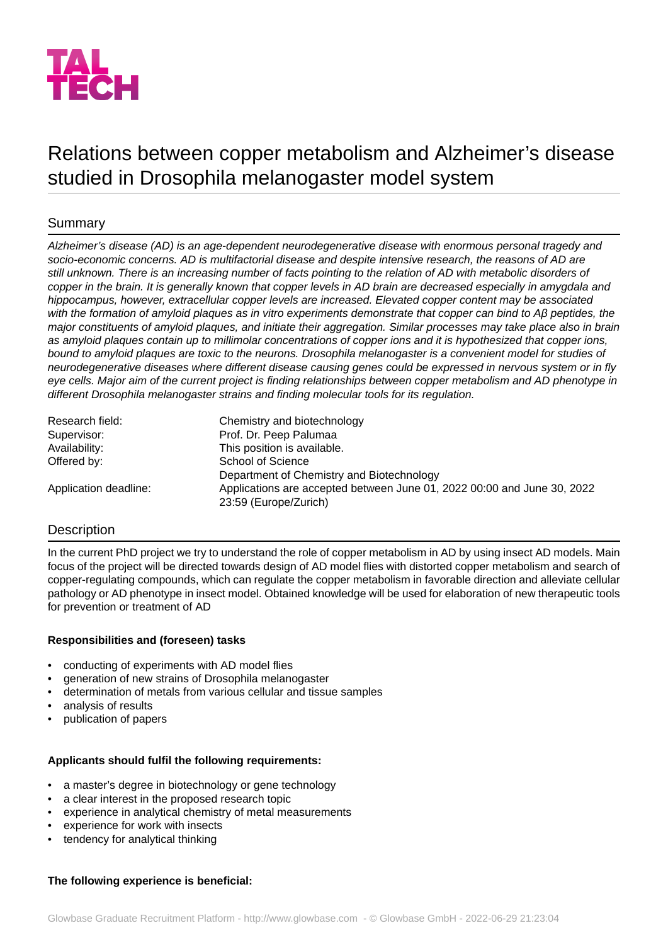

# Relations between copper metabolism and Alzheimer's disease studied in Drosophila melanogaster model system

## Summary

*Alzheimer's disease (AD) is an age-dependent neurodegenerative disease with enormous personal tragedy and socio-economic concerns. AD is multifactorial disease and despite intensive research, the reasons of AD are still unknown. There is an increasing number of facts pointing to the relation of AD with metabolic disorders of copper in the brain. It is generally known that copper levels in AD brain are decreased especially in amygdala and hippocampus, however, extracellular copper levels are increased. Elevated copper content may be associated with the formation of amyloid plaques as in vitro experiments demonstrate that copper can bind to Aβ peptides, the major constituents of amyloid plaques, and initiate their aggregation. Similar processes may take place also in brain as amyloid plaques contain up to millimolar concentrations of copper ions and it is hypothesized that copper ions, bound to amyloid plaques are toxic to the neurons. Drosophila melanogaster is a convenient model for studies of neurodegenerative diseases where different disease causing genes could be expressed in nervous system or in fly eye cells. Major aim of the current project is finding relationships between copper metabolism and AD phenotype in different Drosophila melanogaster strains and finding molecular tools for its regulation.*

| Research field:       | Chemistry and biotechnology                                                                      |
|-----------------------|--------------------------------------------------------------------------------------------------|
| Supervisor:           | Prof. Dr. Peep Palumaa                                                                           |
| Availability:         | This position is available.                                                                      |
| Offered by:           | School of Science                                                                                |
|                       | Department of Chemistry and Biotechnology                                                        |
| Application deadline: | Applications are accepted between June 01, 2022 00:00 and June 30, 2022<br>23:59 (Europe/Zurich) |

### **Description**

In the current PhD project we try to understand the role of copper metabolism in AD by using insect AD models. Main focus of the project will be directed towards design of AD model flies with distorted copper metabolism and search of copper-regulating compounds, which can regulate the copper metabolism in favorable direction and alleviate cellular pathology or AD phenotype in insect model. Obtained knowledge will be used for elaboration of new therapeutic tools for prevention or treatment of AD

#### **Responsibilities and (foreseen) tasks**

- conducting of experiments with AD model flies
- generation of new strains of Drosophila melanogaster
- determination of metals from various cellular and tissue samples
- analysis of results
- publication of papers

#### **Applicants should fulfil the following requirements:**

- a master's degree in biotechnology or gene technology
- a clear interest in the proposed research topic
- experience in analytical chemistry of metal measurements
- experience for work with insects
- tendency for analytical thinking

# **The following experience is beneficial:**